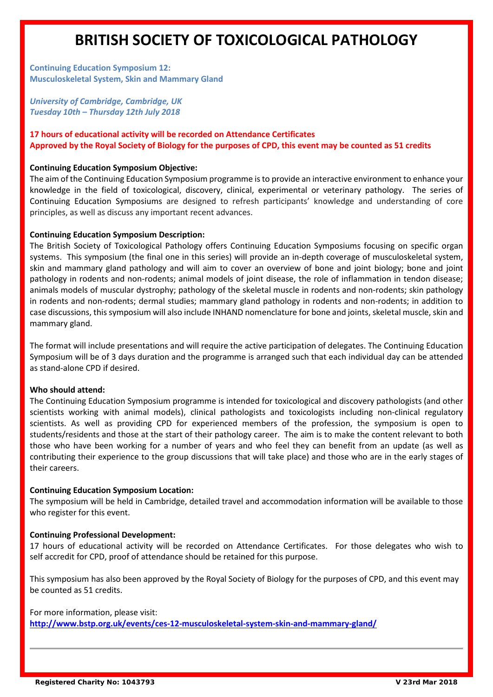# **BRITISH SOCIETY OF TOXICOLOGICAL PATHOLOGY**

**Continuing Education Symposium 12: Musculoskeletal System, Skin and Mammary Gland**

*University of Cambridge, Cambridge, UK Tuesday 10th – Thursday 12th July 2018*

# **17 hours of educational activity will be recorded on Attendance Certificates Approved by the Royal Society of Biology for the purposes of CPD, this event may be counted as 51 credits**

### **Continuing Education Symposium Objective:**

The aim of the Continuing Education Symposium programme isto provide an interactive environment to enhance your knowledge in the field of toxicological, discovery, clinical, experimental or veterinary pathology. The series of Continuing Education Symposiums are designed to refresh participants' knowledge and understanding of core principles, as well as discuss any important recent advances.

#### **Continuing Education Symposium Description:**

The British Society of Toxicological Pathology offers Continuing Education Symposiums focusing on specific organ systems. This symposium (the final one in this series) will provide an in-depth coverage of musculoskeletal system, skin and mammary gland pathology and will aim to cover an overview of bone and joint biology; bone and joint pathology in rodents and non-rodents; animal models of joint disease, the role of inflammation in tendon disease; animals models of muscular dystrophy; pathology of the skeletal muscle in rodents and non-rodents; skin pathology in rodents and non-rodents; dermal studies; mammary gland pathology in rodents and non-rodents; in addition to case discussions, this symposium will also include INHAND nomenclature for bone and joints, skeletal muscle, skin and mammary gland.

The format will include presentations and will require the active participation of delegates. The Continuing Education Symposium will be of 3 days duration and the programme is arranged such that each individual day can be attended as stand-alone CPD if desired.

#### **Who should attend:**

The Continuing Education Symposium programme is intended for toxicological and discovery pathologists (and other scientists working with animal models), clinical pathologists and toxicologists including non-clinical regulatory scientists. As well as providing CPD for experienced members of the profession, the symposium is open to students/residents and those at the start of their pathology career. The aim is to make the content relevant to both those who have been working for a number of years and who feel they can benefit from an update (as well as contributing their experience to the group discussions that will take place) and those who are in the early stages of their careers.

#### **Continuing Education Symposium Location:**

The symposium will be held in Cambridge, detailed travel and accommodation information will be available to those who register for this event.

#### **Continuing Professional Development:**

17 hours of educational activity will be recorded on Attendance Certificates. For those delegates who wish to self accredit for CPD, proof of attendance should be retained for this purpose.

This symposium has also been approved by the Royal Society of Biology for the purposes of CPD, and this event may be counted as 51 credits.

#### For more information, please visit:

**<http://www.bstp.org.uk/events/ces-12-musculoskeletal-system-skin-and-mammary-gland/>**